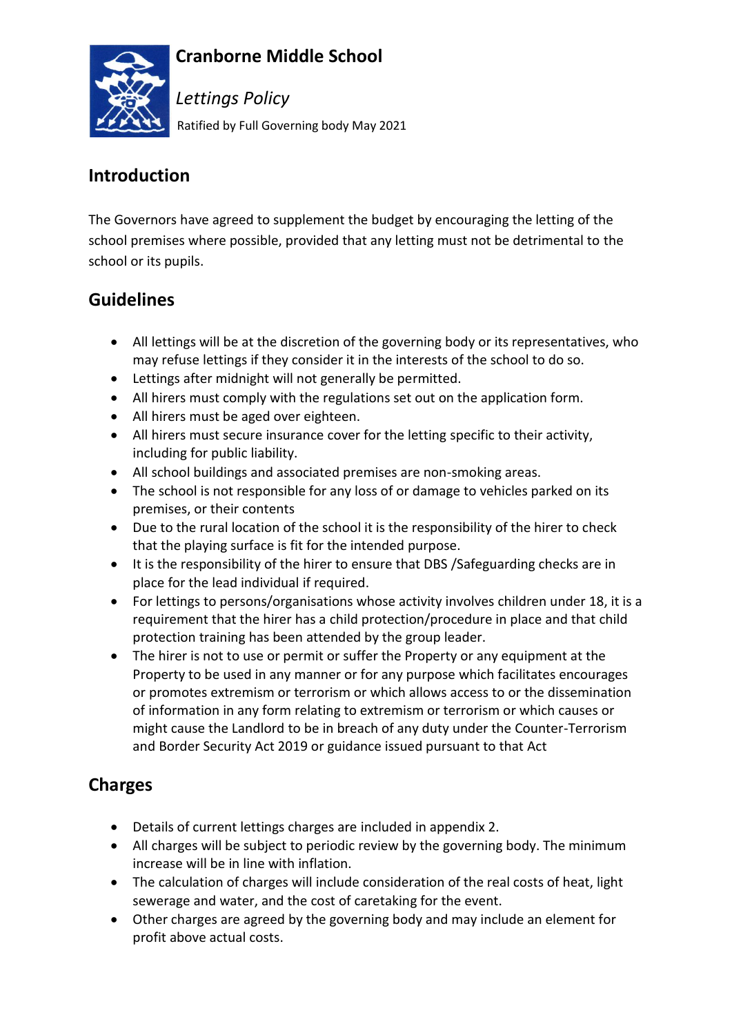

### **Cranborne Middle School**

*Lettings Policy* Ratified by Full Governing body May 2021

#### **Introduction**

The Governors have agreed to supplement the budget by encouraging the letting of the school premises where possible, provided that any letting must not be detrimental to the school or its pupils.

### **Guidelines**

- All lettings will be at the discretion of the governing body or its representatives, who may refuse lettings if they consider it in the interests of the school to do so.
- Lettings after midnight will not generally be permitted.
- All hirers must comply with the regulations set out on the application form.
- All hirers must be aged over eighteen.
- All hirers must secure insurance cover for the letting specific to their activity, including for public liability.
- All school buildings and associated premises are non-smoking areas.
- The school is not responsible for any loss of or damage to vehicles parked on its premises, or their contents
- Due to the rural location of the school it is the responsibility of the hirer to check that the playing surface is fit for the intended purpose.
- It is the responsibility of the hirer to ensure that DBS /Safeguarding checks are in place for the lead individual if required.
- For lettings to persons/organisations whose activity involves children under 18, it is a requirement that the hirer has a child protection/procedure in place and that child protection training has been attended by the group leader.
- The hirer is not to use or permit or suffer the Property or any equipment at the Property to be used in any manner or for any purpose which facilitates encourages or promotes extremism or terrorism or which allows access to or the dissemination of information in any form relating to extremism or terrorism or which causes or might cause the Landlord to be in breach of any duty under the Counter-Terrorism and Border Security Act 2019 or guidance issued pursuant to that Act

### **Charges**

- Details of current lettings charges are included in appendix 2.
- All charges will be subject to periodic review by the governing body. The minimum increase will be in line with inflation.
- The calculation of charges will include consideration of the real costs of heat, light sewerage and water, and the cost of caretaking for the event.
- Other charges are agreed by the governing body and may include an element for profit above actual costs.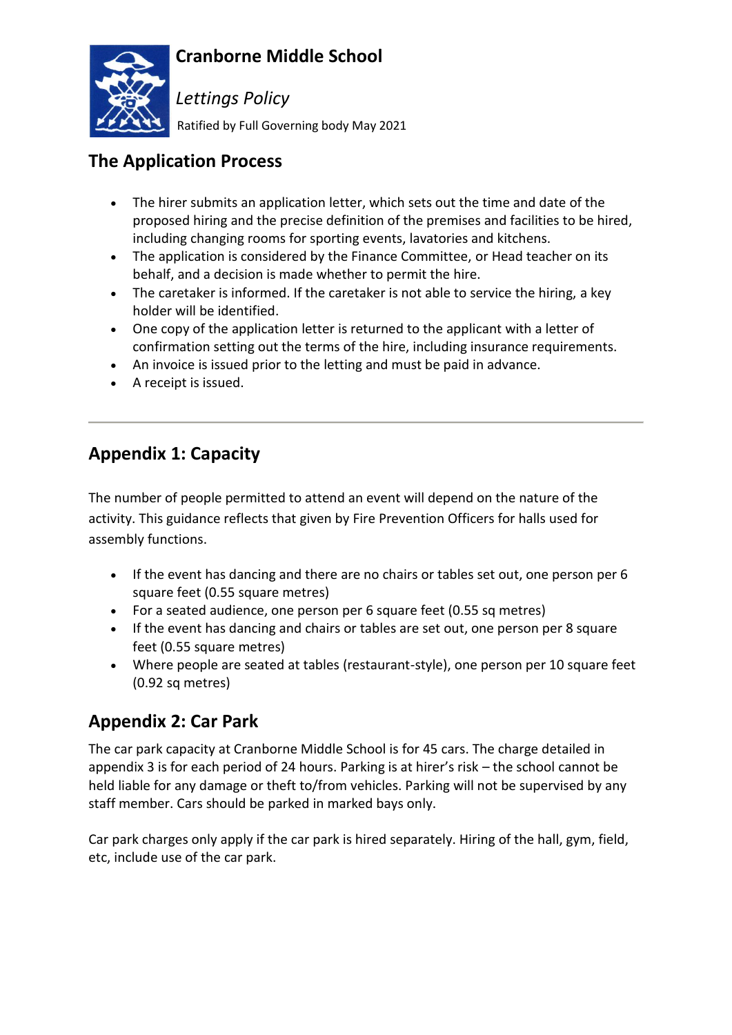



*Lettings Policy*

Ratified by Full Governing body May 2021

# **The Application Process**

- The hirer submits an application letter, which sets out the time and date of the proposed hiring and the precise definition of the premises and facilities to be hired, including changing rooms for sporting events, lavatories and kitchens.
- The application is considered by the Finance Committee, or Head teacher on its behalf, and a decision is made whether to permit the hire.
- The caretaker is informed. If the caretaker is not able to service the hiring, a key holder will be identified.
- One copy of the application letter is returned to the applicant with a letter of confirmation setting out the terms of the hire, including insurance requirements.
- An invoice is issued prior to the letting and must be paid in advance.
- A receipt is issued.

# **Appendix 1: Capacity**

The number of people permitted to attend an event will depend on the nature of the activity. This guidance reflects that given by Fire Prevention Officers for halls used for assembly functions.

- If the event has dancing and there are no chairs or tables set out, one person per 6 square feet (0.55 square metres)
- For a seated audience, one person per 6 square feet (0.55 sq metres)
- If the event has dancing and chairs or tables are set out, one person per 8 square feet (0.55 square metres)
- Where people are seated at tables (restaurant-style), one person per 10 square feet (0.92 sq metres)

### **Appendix 2: Car Park**

The car park capacity at Cranborne Middle School is for 45 cars. The charge detailed in appendix 3 is for each period of 24 hours. Parking is at hirer's risk – the school cannot be held liable for any damage or theft to/from vehicles. Parking will not be supervised by any staff member. Cars should be parked in marked bays only.

Car park charges only apply if the car park is hired separately. Hiring of the hall, gym, field, etc, include use of the car park.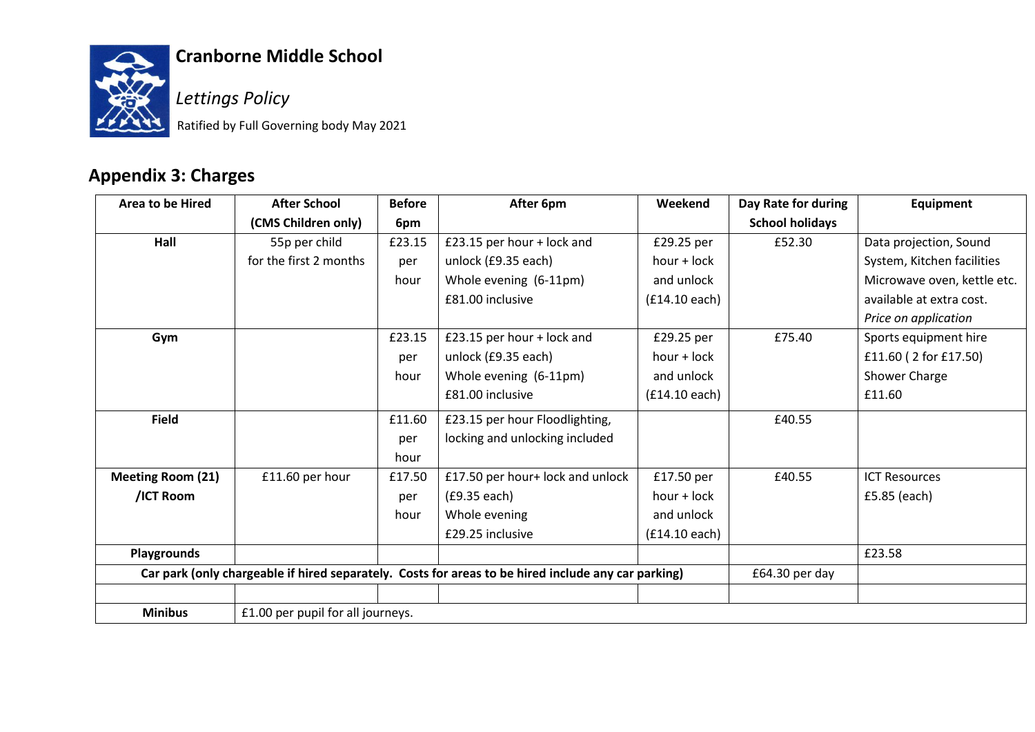

# **Cranborne Middle School**

*Lettings Policy*

Ratified by Full Governing body May 2021

# **Appendix 3: Charges**

| <b>Area to be Hired</b>                                                                             | <b>After School</b>               | <b>Before</b> | After 6pm                        | Weekend       | Day Rate for during    | Equipment                   |
|-----------------------------------------------------------------------------------------------------|-----------------------------------|---------------|----------------------------------|---------------|------------------------|-----------------------------|
|                                                                                                     | (CMS Children only)               | 6pm           |                                  |               | <b>School holidays</b> |                             |
| Hall                                                                                                | 55p per child                     | £23.15        | £23.15 per hour + lock and       | £29.25 per    | £52.30                 | Data projection, Sound      |
|                                                                                                     | for the first 2 months            | per           | unlock (£9.35 each)              | hour + lock   |                        | System, Kitchen facilities  |
|                                                                                                     |                                   | hour          | Whole evening (6-11pm)           | and unlock    |                        | Microwave oven, kettle etc. |
|                                                                                                     |                                   |               | £81.00 inclusive                 | (£14.10 each) |                        | available at extra cost.    |
|                                                                                                     |                                   |               |                                  |               |                        | Price on application        |
| Gym                                                                                                 |                                   | £23.15        | £23.15 per hour + lock and       | £29.25 per    | £75.40                 | Sports equipment hire       |
|                                                                                                     |                                   | per           | unlock (£9.35 each)              | $hour + lock$ |                        | £11.60 (2 for £17.50)       |
|                                                                                                     |                                   | hour          | Whole evening (6-11pm)           | and unlock    |                        | Shower Charge               |
|                                                                                                     |                                   |               | £81.00 inclusive                 | (£14.10 each) |                        | £11.60                      |
| <b>Field</b>                                                                                        |                                   | £11.60        | £23.15 per hour Floodlighting,   |               | £40.55                 |                             |
|                                                                                                     |                                   | per           | locking and unlocking included   |               |                        |                             |
|                                                                                                     |                                   | hour          |                                  |               |                        |                             |
| <b>Meeting Room (21)</b>                                                                            | £11.60 per hour                   | £17.50        | £17.50 per hour+ lock and unlock | £17.50 per    | £40.55                 | <b>ICT Resources</b>        |
| /ICT Room                                                                                           |                                   | per           | (£9.35 each)                     | hour + lock   |                        | £5.85 (each)                |
|                                                                                                     |                                   | hour          | Whole evening                    | and unlock    |                        |                             |
|                                                                                                     |                                   |               | £29.25 inclusive                 | (£14.10 each) |                        |                             |
| Playgrounds                                                                                         |                                   |               |                                  |               |                        | £23.58                      |
| Car park (only chargeable if hired separately. Costs for areas to be hired include any car parking) |                                   |               |                                  |               | £64.30 per day         |                             |
|                                                                                                     |                                   |               |                                  |               |                        |                             |
| <b>Minibus</b>                                                                                      | £1.00 per pupil for all journeys. |               |                                  |               |                        |                             |